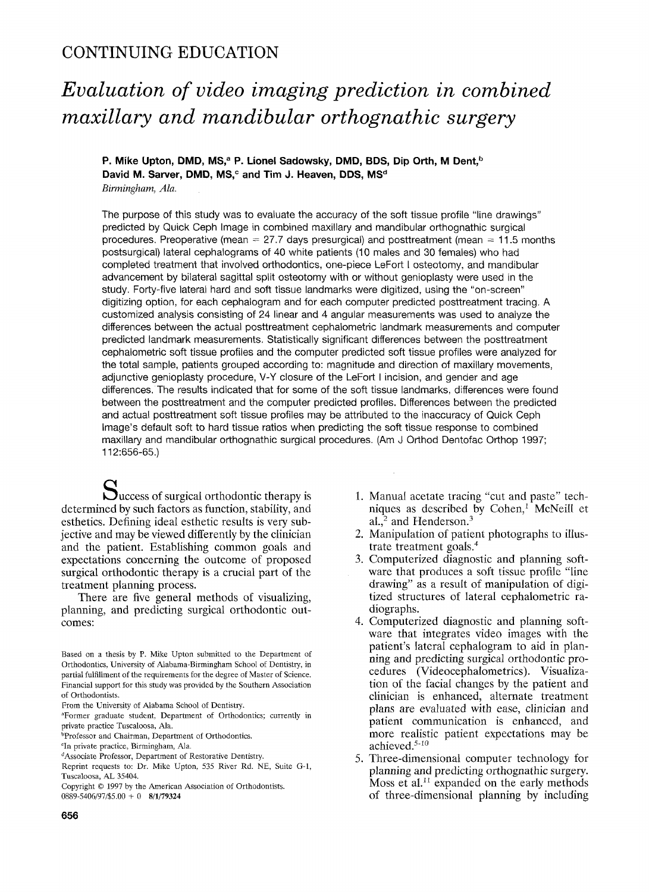# **CONTINUING EDUCATION**

# *Evaluation of video imaging prediction in combined maxillary and mandibular orthognathic surgery*

P. Mike Upton, DMD, MS,<sup>a</sup> P. Lionel Sadowsky, DMD, BDS, Dip Orth, M Dent.<sup>b</sup> David M. Sarver, DMD, MS,<sup>c</sup> and Tim J. Heaven, DDS, MS<sup>d</sup> *Birmingham, Ala.* 

The purpose of this study was to evaluate the accuracy of the soft tissue profile "line drawings" predicted by Quick Ceph Image in combined maxillary and mandibular orthognathic surgical procedures. Preoperative (mean  $= 27.7$  days presurgical) and posttreatment (mean  $= 11.5$  months postsurgical) lateral cephalograms of 40 white patients (10 males and 30 females) who had completed treatment that involved orthodontics, one-piece LeFort I osteotomy, and mandibular advancement by bilateral sagittal split osteotomy with or without genioplasty were used in the study. Forty-five lateral hard and soft tissue landmarks were digitized, using the "on-screen" digitizing option, for each cephalogram and for each computer predicted posttreatment tracing. A customized analysis consisting of 24 linear and 4 angular measurements was used to analyze the differences between the actual posttreatment cephalometric landmark measurements and computer predicted landmark measurements. Statistically significant differences between the posttreatment cephalometric soft tissue profiles and the computer predicted soft tissue profiles were analyzed for the total sample, patients grouped according to: magnitude and direction of maxillary movements, adjunctive genioplasty procedure, V-Y closure of the LeFort I incision, and gender and age differences. The results indicated that for some of the soft tissue landmarks, differences were found between the posttreatment and the computer predicted profiles. Differences between the predicted and actual posttreatment soft tissue profiles may be attributed to the inaccuracy of Quick Ceph Image's default soft to hard tissue ratios when predicting the soft tissue response to combined maxillary and mandibular orthognathic surgical procedures. (Am J Orthod Dentofac Orthop 1997; 112:656-65.)

Success of surgical orthodontic therapy is determined by such factors as function, stability, and esthetics. Defining ideal esthetic results is very subjective and may be viewed differently by the clinician and the patient. Establishing common goals and expectations concerning the outcome of proposed surgical orthodontic therapy is a crucial part of the treatment planning process.

There are five general methods of visualizing, planning, and predicting surgical orthodontic outcomes:

- 1. Manual acetate tracing "cut and paste" techniques as described by  $Cohen<sub>i</sub>$  McNeill et al., $^2$  and Henderson. $^3$
- 2. Manipulation of patient photographs to illustrate treatment goals.<sup>4</sup>
- 3. Computerized diagnostic and planning software that produces a soft tissue profile "line drawing" as a result of manipulation of digitized structures of lateral cephalometric radiographs.
- 4. Computerized diagnostic and planning software that integrates video images with the patient's lateral cephalogram to aid in planning and predicting surgical orthodontic procedures (Videocephalometrics). Visualization of the facial changes by the patient and clinician is enhanced, alternate treatment plans are evaluated with ease, clinician and patient communication is enhanced, and more realistic patient expectations may be achieved.<sup>5-10</sup>
- 5. Three-dimensional computer technology for planning and predicting orthognathic surgery. Moss et al.<sup>11</sup> expanded on the early methods of three-dimensional planning by including

Based on a thesis by P. Mike Upton submitted to the Department of Orthodontics, University of Alabama-Birmingham School of Dentistry, in partial fulfillment of the requirements for the degree of Master of Science. Financial support for this study was provided by the Southern Association of Orthodontists.

From the University of Alabama School of Dentistry.

aFormer graduate student, Department of Orthodontics; currently in private practice Tuscaloosa, Ala.

<sup>&</sup>lt;sup>b</sup>Professor and Chairman, Department of Orthodontics.

<sup>°</sup>In private practice, Birmingham, Ala.

eAssociate Professor, Department of Restorative Dentistry.

Reprint requests to: Dr. Mike Upton, 535 River Rd. NE, Suite G-I, Tuscaloosa, AL 35404.

Copyright © 1997 by the American Association of Orthodontists. 0889-5406/97/\$5.00 + 0 8/1/79324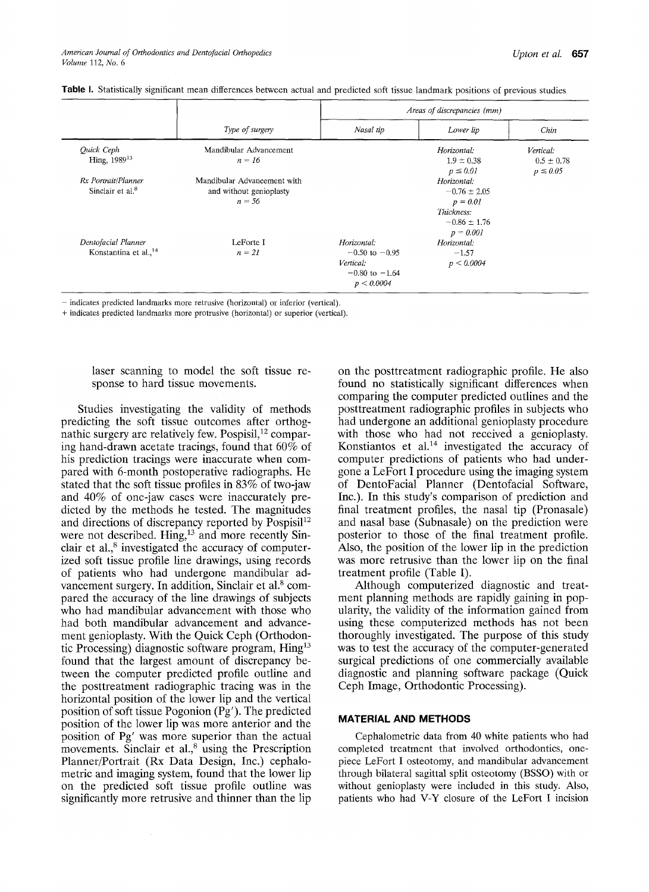|                                   |                             | Areas of discrepancies (mm) |                  |                |  |  |  |  |
|-----------------------------------|-----------------------------|-----------------------------|------------------|----------------|--|--|--|--|
|                                   | Type of surgery             | Nasal tip                   | Lower lip        | Chin           |  |  |  |  |
| Quick Ceph                        | Mandibular Advancement      |                             | Horizontal:      | Vertical:      |  |  |  |  |
| Hing, 1989 <sup>13</sup>          | $n = 16$                    |                             | $1.9 \pm 0.38$   | $0.5 \pm 0.78$ |  |  |  |  |
|                                   |                             |                             | $p \leq 0.01$    | $p \leq 0.05$  |  |  |  |  |
| Rx Portrait/Planner               | Mandibular Advancement with |                             | Horizontal:      |                |  |  |  |  |
| Sinclair et al. <sup>8</sup>      | and without genioplasty     |                             | $-0.76 \pm 2.05$ |                |  |  |  |  |
|                                   | $n = 56$                    |                             | $p = 0.01$       |                |  |  |  |  |
|                                   |                             |                             | Thickness:       |                |  |  |  |  |
|                                   |                             |                             | $-0.86 \pm 1.76$ |                |  |  |  |  |
|                                   |                             |                             | $p = 0.001$      |                |  |  |  |  |
| Dentofacial Planner               | LeForte I                   | Horizontal:                 | Horizontal:      |                |  |  |  |  |
| Konstantina et al., <sup>14</sup> | $n = 2I$                    | $-0.50$ to $-0.95$          | $-1.57$          |                |  |  |  |  |
|                                   |                             | Vertical:                   | p < 0.0004       |                |  |  |  |  |
|                                   |                             | $-0.80$ to $-1.64$          |                  |                |  |  |  |  |
|                                   |                             | p < 0.0004                  |                  |                |  |  |  |  |

Table I. Statistically significant mean differences between actual and predicted soft tissue landmark positions of previous studies

- indicates predicted landmarks more retrusive (horizontal) or inferior (vertical).

+ indicates predicted landmarks more protrusive (horizontal) or superior (vertical).

laser scanning to model the soft tissue response to hard tissue movements.

Studies investigating the validity of methods predicting the soft tissue outcomes after orthognathic surgery are relatively few. Pospisil,<sup>12</sup> comparing hand-drawn acetate tracings, found that  $60\%$  of his prediction tracings were inaccurate when compared with 6-month postoperative radiographs. He stated that the soft tissue profiles in 83% of two-jaw and 40% of one-jaw cases were inaccurately predicted by the methods he tested. The magnitudes and directions of discrepancy reported by Pospisi<sup>12</sup> were not described. Hing,<sup>13</sup> and more recently Sinclair et al., $<sup>8</sup>$  investigated the accuracy of computer-</sup> ized soft tissue profile line drawings, using records of patients who had undergone mandibular advancement surgery. In addition, Sinclair et al. $\rm^8$  compared the accuracy of the line drawings of subjects who had mandibular advancement with those who had both mandibular advancement and advancement genioplasty. With the Quick Ceph (Orthodontic Processing) diagnostic software program,  $\text{Hing}^{13}$ found that the largest amount of discrepancy between the computer predicted profile outline and the posttreatment radiographic tracing was in the horizontal position of the lower lip and the vertical position of soft tissue Pogonion (Pg'). The predicted position of the lower lip was more anterior and the position of Pg' was more superior than the actual movements. Sinclair et al.,<sup>8</sup> using the Prescription Planner/Portrait (Rx Data Design, Inc.) cephalometric and imaging system, found that the lower lip on the predicted soft tissue profile outline was significantly more retrusive and thinner than the lip on the posttreatment radiographic profile. He also found no statistically significant differences when comparing the computer predicted outlines and the posttreatment radiographic profiles in subjects who had undergone an additional genioplasty procedure with those who had not received a genioplasty. Konstiantos et  $al.^{14}$  investigated the accuracy of computer predictions of patients who had undergone a LeFort I procedure using the imaging system of DentoFacial Planner (Dentofacial Software, Inc.). In this study's comparison of prediction and final treatment profiles, the nasal tip (Pronasale) and nasal base (Subnasale) on the prediction were posterior to those of the final treatment profile. Also, the position of the lower lip in the prediction was more retrusive than the lower lip on the final treatment profile (Table I).

Although computerized diagnostic and treatment planning methods are rapidly gaining in popularity, the validity of the information gained from using these computerized methods has not been thoroughly investigated. The purpose of this study was to test the accuracy of the computer-generated surgical predictions of one commercially available diagnostic and planning software package (Quick Ceph Image, Orthodontic Processing).

#### **MATERIAL AND METHODS**

Cephalometric data from 40 white patients who had completed treatment that involved orthodontics, onepiece LeFort I osteotomy, and mandibular advancement through bilateral sagittal split osteotomy (BSSO) with or without genioplasty were included in this study. Also, patients who had V-Y closure of the LeFort I incision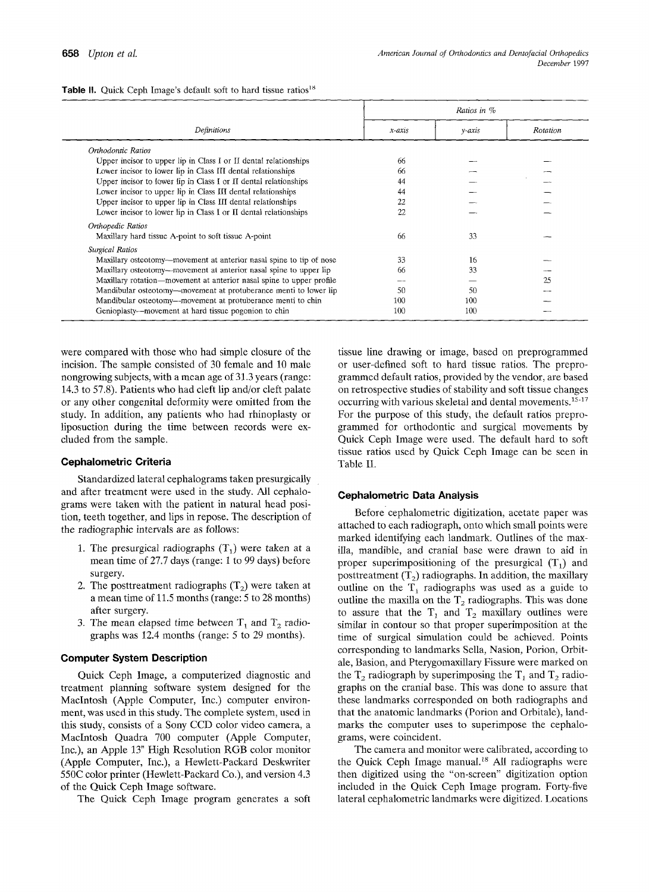|                                                                      |          | Ratios in %  |          |
|----------------------------------------------------------------------|----------|--------------|----------|
| Definitions                                                          | $x-axis$ | $y$ - $axis$ | Rotation |
| Orthodontic Ratios                                                   |          |              |          |
| Upper incisor to upper lip in Class I or II dental relationships     | 66       |              |          |
| Lower incisor to lower lip in Class III dental relationships         | 66       |              |          |
| Upper incisor to lower lip in Class I or II dental relationships     | 44       |              |          |
| Lower incisor to upper lip in Class III dental relationships         | 44       |              |          |
| Upper incisor to upper lip in Class III dental relationships         | 22       |              |          |
| Lower incisor to lower lip in Class I or II dental relationships     | 22       |              |          |
| Orthopedic Ratios                                                    |          |              |          |
| Maxillary hard tissue A-point to soft tissue A-point                 | 66       | 33           |          |
| Surgical Ratios                                                      |          |              |          |
| Maxillary osteotomy—movement at anterior nasal spine to tip of nose  | 33       | 16           |          |
| Maxillary osteotomy—movement at anterior nasal spine to upper lip    | 66       | 33           |          |
| Maxillary rotation—movement at anterior nasal spine to upper profile | --       |              | 25       |
| Mandibular osteotomy—movement at protuberance menti to lower lip     | -50      | 50           |          |
| Mandibular osteotomy---movement at protuberance menti to chin        | 100      | 100          |          |
| Genioplasty—movement at hard tissue pogonion to chin                 | 100      | 100          |          |

**Table II.** Quick Ceph Image's default soft to hard tissue ratios<sup>18</sup>

were compared with those who had simple closure of the incision. The sample consisted of 30 female and 10 male nongrowing subjects, with a mean age of 31.3 years (range: 14.3 to 57.8). Patients who had cleft lip and/or cleft palate or any other congenital deformity were omitted from **the**  study. In addition, any patients who had rhinoplasty or liposuction during the time between records were excluded from the sample.

#### **Cephalometric Criteria**

Standardized lateral cephalograms taken presurgically and after treatment were used in the study. All cephalograms were taken with the patient in natural head position, teeth together, and lips in repose. The description of the radiographic intervals are as follows:

- 1. The presurgical radiographs  $(T_1)$  were taken at a mean time of 27.7 days (range: 1 to 99 days) before surgery.
- 2. The posttreatment radiographs  $(T_2)$  were taken at a mean time of 11.5 months (range: 5 to 28 months) after surgery.
- 3. The mean elapsed time between  $T_1$  and  $T_2$  radiographs was 12.4 months (range: 5 to 29 months).

#### **Computer System Description**

Quick Ceph Image, a computerized diagnostic and treatment planning software system designed for the Macintosh (Apple Computer, Inc.) computer environment, was used in this study. The complete system, used in this study, consists of a Sony CCD color video camera, a Macintosh Quadra 700 computer (Apple Computer, Inc.), an Apple 13" High Resolution RGB color monitor (Apple Computer, Inc.), a Hewlett-Packard Deskwriter 550C color printer (Hewlett-Packard Co.), and version 4.3 of the Quick Ceph Image software.

The Quick Ceph Image program generates a soft

tissue line drawing or image, based on preprogrammed or user-defined soft to hard tissue ratios. The preprogrammed default ratios, provided by the vendor, are based on retrospective studies of stability and soft tissue changes occurring with various skeletal and dental movements.<sup>15-17</sup> For the purpose of this study, the default ratios preprogrammed for orthodontic and surgical movements by Quick Ceph Image were used. The default hard to soft tissue ratios used by Quick Ceph Image can be seen in Table II.

#### **Cephalometric Data Analysis**

Before cephalometric digitization, acetate paper was attached to each radiograph, onto which small points were marked identifying each landmark. Outlines of the maxilla, mandible, and cranial base were drawn to aid in proper superimpositioning of the presurgical  $(T_1)$  and posttreatment  $(T_2)$  radiographs. In addition, the maxillary outline on the  $T_1$  radiographs was used as a guide to outline the maxilla on the  $T_2$  radiographs. This was done to assure that the  $T_1$  and  $T_2$  maxillary outlines were similar in contour so that proper superimposition at the time of surgical simulation could be achieved. Points corresponding to landmarks Sella, Nasion, Porion, Orbitale, Basion, and Pterygomaxillary Fissure were marked on the  $T_2$  radiograph by superimposing the  $T_1$  and  $T_2$  radiographs on the cranial base. This was done to assure that these landmarks corresponded on both radiographs and that the anatomic landmarks (Porion and Orbitale), landmarks the computer uses to superimpose the cephalograms, were coincident.

The camera and monitor were calibrated, according to the Quick Ceph Image manual.<sup>18</sup> All radiographs were then digitized using the "on-screen" digitization option included in the Quick Ceph Image program. Forty-five lateral cephalometric landmarks were digitized. Locations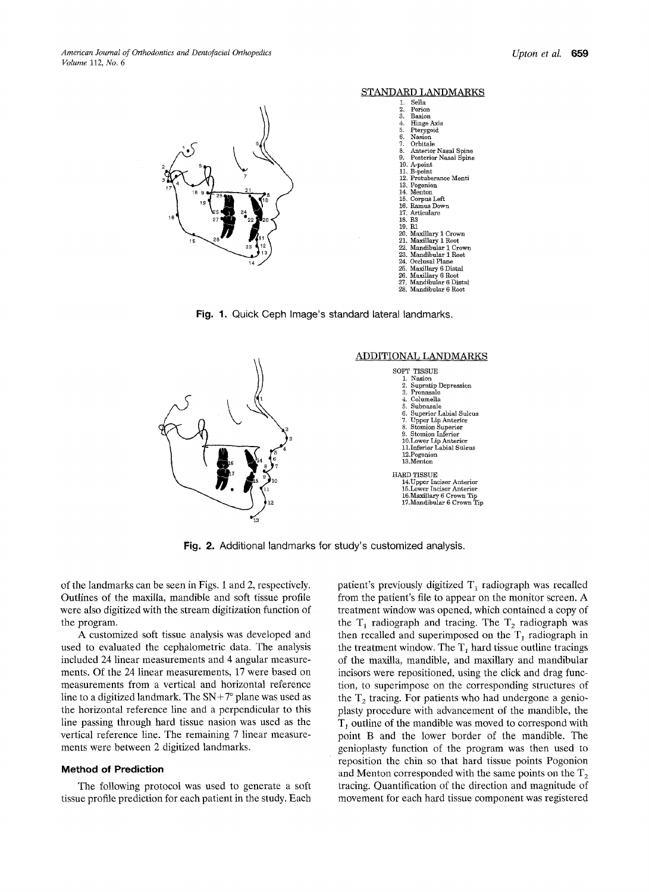

#### STANDARD LANDMARKS

| ı.     | Sella                     |
|--------|---------------------------|
|        | 2. Porion                 |
|        | 3. Basion                 |
|        | 4. Hinge Axis             |
|        | 5. Pterygoid<br>6. Nasion |
|        |                           |
|        | 7. Orbitale               |
|        | 8. Anterior Nasal Spine   |
|        | 9. Posterior Nasal Spine  |
|        | 10. A-point               |
|        | 11. B-point               |
|        | 12. Protuberance Menti    |
|        | 13. Pogonion              |
|        | 14. Menton                |
|        | 15. Corpus Left           |
|        | 16. Ramus Down            |
|        | 17. Articulare            |
| 18. R3 |                           |
| 19. R1 |                           |
|        | 20. Maxillary 1 Crown     |
|        | 21. Maxillary 1 Root      |
|        | 22. Mandibular 1 Crown    |
|        | 23. Mandibular 1 Root     |
|        | 24. Occlusal Plane        |
|        | 25. Maxillary 6 Distal    |
|        | 26. Maxillary 6 Root      |
|        | 27. Mandibular 6 Distal   |
|        | 28. Mandibular 6 Root     |
|        |                           |

**Fig. 1. Quick Ceph Image's standard lateral landmarks.** 



**Fig. 2. Additional landmarks for study's customized analysis.** 

**of the landmarks can be seen in Figs. 1 and 2, respectively. Outlines of the maxilla, mandible and soft tissue profile were also digitized with the stream digitization function of the program.** 

**A customized soft tissue analysis was developed and used to evaluated the cephalometric data. The analysis included 24 linear measurements and 4 angular measurements. Of the 24 linear measurements, 17 were based on measurements from a vertical and horizontal reference**  line to a digitized landmark. The  $SN+7$ ° plane was used as **the horizontal reference line and a perpendicular to this line passing through hard tissue nasion was used as the vertical reference line. The remaining 7 linear measurements were between 2 digitized landmarks.** 

#### **Method of Prediction**

**The following protocol was used to generate a soft tissue profile prediction for each patient in the study. Each**  patient's previously digitized T<sub>1</sub> radiograph was recalled **from the patient's file to appear on the monitor screen. A treatment window was opened, which contained a copy of**  the  $T_1$  radiograph and tracing. The  $T_2$  radiograph was then recalled and superimposed on the  $T_1$  radiograph in the treatment window. The  $T_1$  hard tissue outline tracings **of the maxilla, mandible, and maxillary and mandibular incisors were repositioned, using the click and drag function, to superimpose on the corresponding structures of**  the T<sub>2</sub> tracing. For patients who had undergone a genio**plasty procedure with advancement of the mandible, the T~ outline of the mandible was moved to correspond with point B and the lower border of the mandible. The genioplasty function of the program was then used to reposition the chin so that hard tissue points Pogonion**  and Menton corresponded with the same points on the  $T_2$ **tracing. Quantification of the direction and magnitude of movement for each hard tissue component was registered**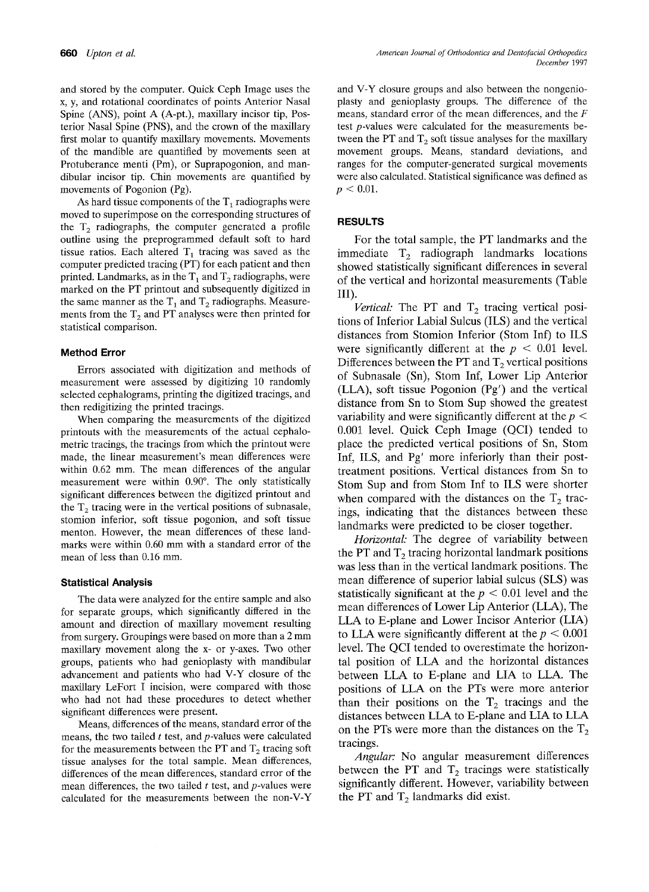and stored by the computer. Quick Ceph Image uses the x, y, and rotational coordinates of points Anterior Nasal Spine (ANS), point A (A-pt.), maxillary incisor tip, Posterior Nasal Spine (PNS), and the crown of the maxillary first molar to quantify maxillary movements. Movements of the mandible are quantified by movements seen at Protuberance menti (Pm), or Suprapogonion, and mandibular incisor tip. Chin movements are quantified by movements of Pogonion (Pg).

As hard tissue components of the  $T_1$  radiographs were moved to superimpose on the corresponding structures of the  $T_2$  radiographs, the computer generated a profile outline using the preprogrammed default soft to hard tissue ratios. Each altered  $T_1$  tracing was saved as the computer predicted tracing (PT) for each patient and then printed. Landmarks, as in the  $T_1$  and  $T_2$  radiographs, were marked on the PT printout and subsequently digitized in the same manner as the  $T_1$  and  $T_2$  radiographs. Measurements from the  $T_2$  and PT analyses were then printed for statistical comparison.

#### **Method Error**

Errors associated with digitization and methods of measurement were assessed by digitizing 10 randomly selected cephalograms, printing the digitized tracings, and then redigitizing the printed tracings.

When comparing the measurements of the digitized printouts with the measurements of the actual cephalometric tracings, the tracings from which the printout were made, the linear measurement's mean differences were within 0.62 mm. The mean differences of the angular measurement were within 0.90°. The only statistically significant differences between the digitized printout and the  $T<sub>2</sub>$  tracing were in the vertical positions of subnasale, stomion inferior, soft tissue pogonion, and soft tissue menton. However, the mean differences of these landmarks were within 0.60 mm with a standard error of the mean of less than 0.16 mm.

#### **Statistical Analysis**

The data were analyzed for the entire sample and also for separate groups, which significantly differed in the amount and direction of maxillary movement resulting from surgery. Groupings were based on more than a 2 mm maxillary movement along the x- or y-axes. Two other groups, patients who had genioplasty with mandibular advancement and patients who had V-Y closure of the maxillary LeFort I incision, were compared with those who had not had these procedures to detect whether significant differences were present.

Means, differences of the means, standard error of the means, the two tailed  $t$  test, and  $p$ -values were calculated for the measurements between the PT and  $T_2$  tracing soft tissue analyses for the total sample. Mean differences, differences of the mean differences, standard error of the mean differences, the two tailed  $t$  test, and  $p$ -values were calculated for the measurements between the non-V-Y

and V-Y closure groups and also between the nongenioplasty and genioplasty groups. The difference of the means, standard error of the mean differences, and the  $F$ test p-values were calculated for the measurements between the PT and  $T_2$  soft tissue analyses for the maxillary movement groups. Means, standard deviations, and ranges for the computer-generated surgical movements were also calculated. Statistical significance was defined as  $p < 0.01$ .

### **RESULTS**

For the total sample, the PT landmarks and the immediate  $T_2$  radiograph landmarks locations showed statistically significant differences in several of the vertical and horizontal measurements (Table III).

*Vertical:* The PT and  $T_2$  tracing vertical positions of Inferior Labial Sulcus (ILS) and the vertical distances from Stomion Inferior (Stom Inf) to ILS were significantly different at the  $p < 0.01$  level. Differences between the PT and  $T_2$  vertical positions of Subnasale (Sn), Stom Inf, Lower Lip Anterior (LLA), soft tissue Pogonion (Pg') and the vertical distance from Sn to Stom Sup showed the greatest variability and were significantly different at the  $p <$ 0.001 level. Quick Ceph Image (QCI) tended to place the predicted vertical positions of Sn, Stom Inf, ILS, and Pg' more inferiorly than their posttreatment positions. Vertical distances from Sn to Stom Sup and from Stom Inf to ILS were shorter when compared with the distances on the  $T_2$  tracings, indicating that the distances between these landmarks were predicted to be closer together.

*Horizontal."* The degree of variability between the PT and  $T_2$  tracing horizontal landmark positions was less than in the vertical landmark positions. The mean difference of superior labial sulcus (SLS) was statistically significant at the  $p < 0.01$  level and the mean differences of Lower Lip Anterior (LLA), The LLA to E-plane and Lower Incisor Anterior (LIA) to LLA were significantly different at the  $p < 0.001$ level. The QCI tended to overestimate the horizontal position of LLA and the horizontal distances between LLA to E-plane and LIA to LLA. The positions of LLA on the PTs were more anterior than their positions on the  $T_2$  tracings and the distances between LLA to E-plane and LIA to LLA on the PTs were more than the distances on the  $T_2$ tracings.

*Angular:* No angular measurement differences between the PT and  $T_2$  tracings were statistically significantly different. However, variability between the PT and  $T_2$  landmarks did exist.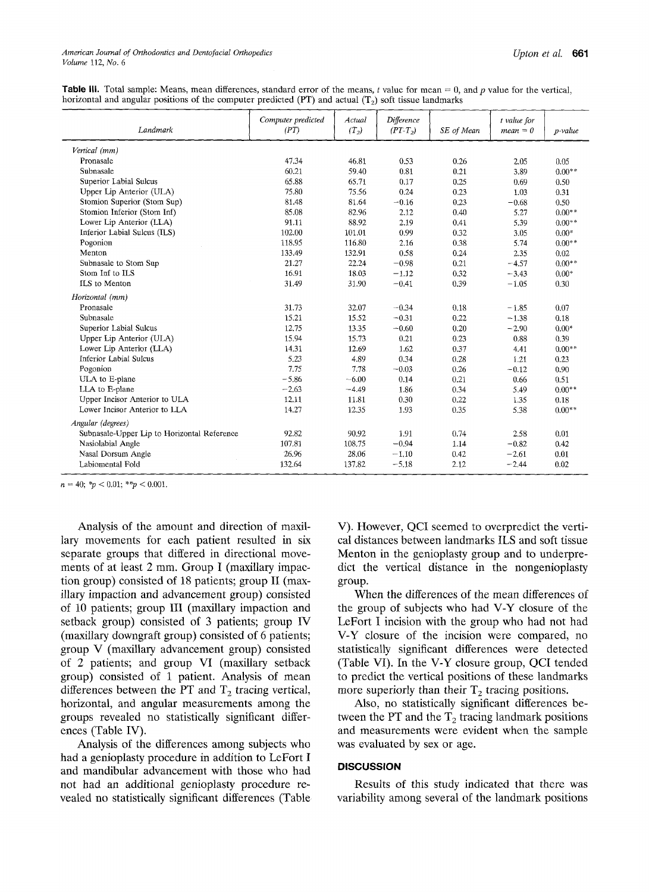| <b>Table III.</b> Total sample: Means, mean differences, standard error of the means, t value for mean = 0, and p value for the vertical, |  |  |  |  |  |
|-------------------------------------------------------------------------------------------------------------------------------------------|--|--|--|--|--|
| horizontal and angular positions of the computer predicted (PT) and actual ( $T_2$ ) soft tissue landmarks                                |  |  |  |  |  |

| Landmark                                    | Computer predicted<br>(PT) | Actual<br>$(T_2)$ | Difference<br>$(PT-T_2)$ | SE of Mean | t value for<br>$mean = 0$ | p-value  |
|---------------------------------------------|----------------------------|-------------------|--------------------------|------------|---------------------------|----------|
| Vertical (mm)                               |                            |                   |                          |            |                           |          |
| Pronasale                                   | 47.34                      | 46.81             | 0.53                     | 0.26       | 2.05                      | 0.05     |
| Subnasale                                   | 60.21                      | 59.40             | 0.81                     | 0.21       | 3.89                      | $0.00**$ |
| Superior Labial Sulcus                      | 65.88                      | 65.71             | 0.17                     | 0.25       | 0.69                      | 0.50     |
| Upper Lip Anterior (ULA)                    | 75.80                      | 75.56             | 0.24                     | 0.23       | 1.03                      | 0.31     |
| Stomion Superior (Stom Sup)                 | 81.48                      | 81.64             | $-0.16$                  | 0.23       | $-0.68$                   | 0.50     |
| Stomion Inferior (Stom Inf)                 | 85.08                      | 82.96             | 2.12                     | 0.40       | 5.27                      | $0.00**$ |
| Lower Lip Anterior (LLA)                    | 91.11                      | 88.92             | 2.19                     | 0.41       | 5.39                      | $0.00**$ |
| Inferior Labial Sulcus (ILS)                | 102.00                     | 101.01            | 0.99                     | 0.32       | 3.05                      | $0.00*$  |
| Pogonion                                    | 118.95                     | 116.80            | 2.16                     | 0.38       | 5.74                      | $0.00**$ |
| Menton                                      | 133.49                     | 132.91            | 0.58                     | 0.24       | 2.35                      | 0.02     |
| Subnasale to Stom Sup                       | 21.27                      | 22.24             | $-0.98$                  | 0.21       | $-4.57$                   | $0.00**$ |
| Stom Inf to ILS                             | 16.91                      | 18.03             | $-1.12$                  | 0.32       | $-3.43$                   | $0.00*$  |
| ILS to Menton                               | 31.49                      | 31.90             | $-0.41$                  | 0.39       | $-1.05$                   | 0.30     |
| Horizontal (mm)                             |                            |                   |                          |            |                           |          |
| Pronasale                                   | 31.73                      | 32.07             | $-0.34$                  | 0.18       | $-1.85$                   | 0.07     |
| Subnasale                                   | 15.21                      | 15.52             | $-0.31$                  | 0.22       | $-1.38$                   | 0.18     |
| Superior Labial Sulcus                      | 12.75                      | 13.35             | $-0.60$                  | 0.20       | $-2.90$                   | $0.00*$  |
| Upper Lip Anterior (ULA)                    | 15.94                      | 15.73             | 0.21                     | 0.23       | 0.88                      | 0.39     |
| Lower Lip Anterior (LLA)                    | 14.31                      | 12.69             | 1.62                     | 0.37       | 4.41                      | $0.00**$ |
| <b>Inferior Labial Sulcus</b>               | 5.23                       | 4.89              | 0.34                     | 0.28       | 1.21                      | 0.23     |
| Pogonion                                    | 7.75                       | 7.78              | $-0.03$                  | 0.26       | $-0.12$                   | 0.90     |
| ULA to E-plane                              | $-5.86$                    | $-6.00$           | 0.14                     | 0.21       | 0.66                      | 0.51     |
| LLA to E-plane                              | $-2.63$                    | $-4.49$           | 1.86                     | 0.34       | 5.49                      | $0.00**$ |
| Upper Incisor Anterior to ULA               | 12.11                      | 11.81             | 0.30                     | 0.22       | 1.35                      | 0.18     |
| Lower Incisor Anterior to LLA               | 14.27                      | 12.35             | 1.93                     | 0.35       | 5.38                      | $0.00**$ |
| Angular (degrees)                           |                            |                   |                          |            |                           |          |
| Subnasale-Upper Lip to Horizontal Reference | 92.82                      | 90.92             | 1.91                     | 0.74       | 2.58                      | 0.01     |
| Nasiolabial Angle                           | 107.81                     | 108.75            | $-0.94$                  | 1.14       | $-0.82$                   | 0.42     |
| Nasal Dorsum Angle                          | 26.96                      | 28.06             | $-1,10$                  | 0.42       | $-2.61$                   | 0.01     |
| Labiomental Fold                            | 132.64                     | 137.82            | $-5.18$                  | 2.12       | $-2.44$                   | 0.02     |

 $n = 40$ ; \* $p < 0.01$ ; \*\* $p < 0.001$ .

Analysis of the amount and direction of maxillary movements for each patient resulted in six separate groups that differed in directional movements of at least  $2 \text{ mm}$ . Group I (maxillary impaction group) consisted of 18 patients; group II (maxillary impaction and advancement group) consisted of 10 patients; group III (maxillary impaction and setback group) consisted of 3 patients; group IV (maxillary downgraft group) consisted of 6 patients; group V (maxillary advancement group) consisted of 2 patients; and group VI (maxillary setback group) consisted of 1 patient. Analysis of mean differences between the PT and  $T_2$  tracing vertical, horizontal, and angular measurements among the groups revealed no statistically significant differences (Table IV).

Analysis of the differences among subjects who had a genioplasty procedure in addition to LeFort I and mandibular advancement with those who had not had an additional genioplasty procedure revealed no statistically significant differences (Table

V). However, QCI seemed to overpredict the vertical distances between landmarks ILS and soft tissue Menton in the genioplasty group and to underpredict the vertical distance in the nongenioplasty group.

When the differences of the mean differences of the group of subjects who had V-Y closure of the LeFort I incision with the group who had not had V-Y closure of the incision were compared, no statistically significant differences were detected (Table VI). In the V-Y closure group, QCI tended to predict the vertical positions of these landmarks more superiorly than their  $T_2$  tracing positions.

Also, no statistically significant differences between the PT and the  $T_2$  tracing landmark positions and measurements were evident when the sample was evaluated by sex or age.

#### **DISCUSSION**

Results of this study indicated that there was variability among several of the landmark positions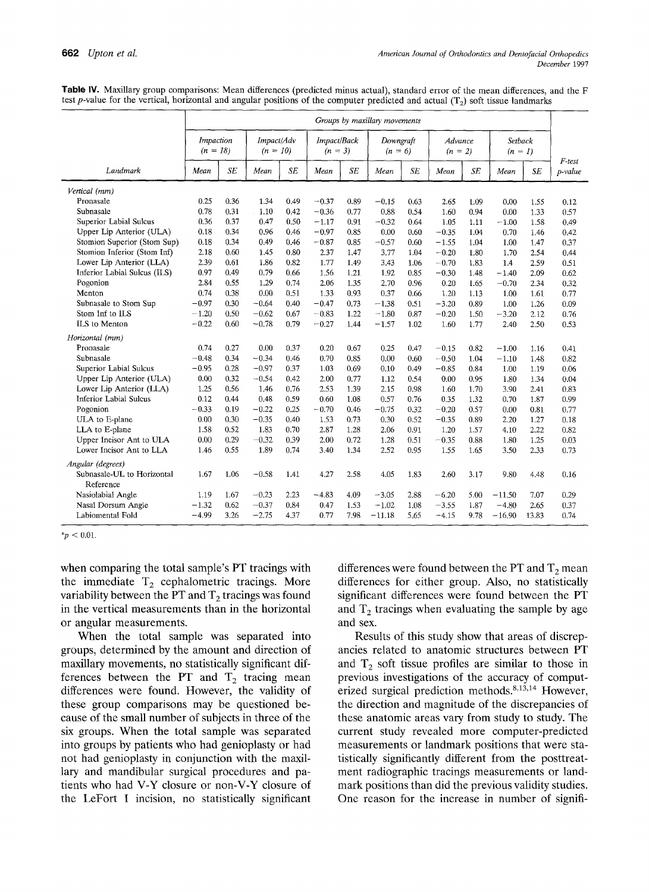**Table W. Maxillary group comparisons: Mean differences (predicted minus actual), standard error of the mean differences, and the** F test p-value for the vertical, horizontal and angular positions of the computer predicted and actual (T<sub>2</sub>) soft tissue landmarks

|                                         | Groups by maxillary movements |      |                          |      |                          |      |                        |      |                      |           |                           |       |                      |
|-----------------------------------------|-------------------------------|------|--------------------------|------|--------------------------|------|------------------------|------|----------------------|-----------|---------------------------|-------|----------------------|
|                                         | Impaction<br>$(n = 18)$       |      | Impact/Adv<br>$(n = 10)$ |      | Impact/Back<br>$(n = 3)$ |      | Downgraft<br>$(n = 6)$ |      | Advance<br>$(n = 2)$ |           | <b>Setback</b><br>$(n=1)$ |       |                      |
| Landmark                                | Mean                          | SE   | Mean                     | SE   | Mean                     | SE   | Mean                   | SE   | Mean                 | <b>SE</b> | Mean                      | SE    | $F$ -test<br>p-value |
| Vertical (mm)                           |                               |      |                          |      |                          |      |                        |      |                      |           |                           |       |                      |
| Pronasale                               | 0.25                          | 0.36 | 1.34                     | 0.49 | $-0.37$                  | 0.89 | $-0.15$                | 0.63 | 2.65                 | 1.09      | 0.00                      | 1.55  | 0.12                 |
| Subnasale                               | 0.78                          | 0.31 | 1.10                     | 0.42 | $-0.36$                  | 0.77 | 0.88                   | 0.54 | 1.60                 | 0.94      | 0.00                      | 1.33  | 0.57                 |
| Superior Labial Sulcus                  | 0.36                          | 0.37 | 0.47                     | 0.50 | $-1.17$                  | 0.91 | $-0.32$                | 0.64 | 1.05                 | 1.11      | $-1.00$                   | 1.58  | 0.49                 |
| Upper Lip Anterior (ULA)                | 0.18                          | 0.34 | 0.96                     | 0.46 | $-0.97$                  | 0.85 | 0.00                   | 0.60 | $-0.35$              | 1.04      | 0.70                      | 1.46  | 0.42                 |
| Stomion Superior (Stom Sup)             | 0.18                          | 0.34 | 0.49                     | 0.46 | $-0.87$                  | 0.85 | $-0.57$                | 0.60 | $-1.55$              | 1.04      | 1.00                      | 1.47  | 0.37                 |
| Stomion Inferior (Stom Inf)             | 2.18                          | 0.60 | 1.45                     | 0.80 | 2.37                     | 1,47 | 3.77                   | 1.04 | $-0.20$              | 1.80      | 1.70                      | 2.54  | 0.44                 |
| Lower Lip Anterior (LLA)                | 2.39                          | 0.61 | 1.86                     | 0.82 | 1.77                     | 1.49 | 3.43                   | 1.06 | $-0.70$              | 1.83      | 1.4                       | 2.59  | 0.51                 |
| Inferior Labial Sulcus (ILS)            | 0.97                          | 0.49 | 0.79                     | 0.66 | 1.56                     | 1.21 | 1.92                   | 0.85 | $-0.30$              | 1.48      | $-1.40$                   | 2.09  | 0.62                 |
| Pogonion                                | 2.84                          | 0.55 | 1.29                     | 0.74 | 2.06                     | 1.35 | 2.70                   | 0.96 | 0.20                 | 1.65      | $-0.70$                   | 2.34  | 0.32                 |
| Menton                                  | 0.74                          | 0.38 | 0.00                     | 0.51 | 1.33                     | 0.93 | 0.37                   | 0.66 | 1.20                 | 1.13      | 1.00                      | 1.61  | 0.77                 |
| Subnasale to Stom Sup                   | $-0.97$                       | 0.30 | $-0.64$                  | 0.40 | $-0.47$                  | 0.73 | $-1.38$                | 0.51 | $-3.20$              | 0.89      | 1.00                      | 1.26  | 0.09                 |
| Stom Inf to ILS                         | $-1.20$                       | 0.50 | $-0.62$                  | 0.67 | $-0.83$                  | 1.22 | $-1.80$                | 0.87 | $-0.20$              | 1.50      | $-3.20$                   | 2.12  | 0.76                 |
| ILS to Menton                           | $-0.22$                       | 0.60 | $-0.78$                  | 0.79 | $-0.27$                  | 1.44 | $-1.57$                | 1.02 | 1,60                 | 1.77      | 2.40                      | 2.50  | 0.53                 |
| Horizontal (mm)                         |                               |      |                          |      |                          |      |                        |      |                      |           |                           |       |                      |
| Pronasale                               | 0.74                          | 0.27 | 0.00                     | 0.37 | 0.20                     | 0.67 | 0.25                   | 0.47 | $-0.15$              | 0.82      | $-1.00$                   | 1.16  | 0.41                 |
| Subnasale                               | $-0.48$                       | 0.34 | $-0.34$                  | 0.46 | 0.70                     | 0.85 | 0.00                   | 0.60 | $-0.50$              | 1.04      | $-1.10$                   | 1.48  | 0.82                 |
| Superior Labial Sulcus                  | $-0.95$                       | 0.28 | $-0.97$                  | 0.37 | 1.03                     | 0.69 | 0.10                   | 0.49 | $-0.85$              | 0.84      | 1.00                      | 1.19  | 0.06                 |
| Upper Lip Anterior (ULA)                | 0.00                          | 0.32 | $-0.54$                  | 0.42 | 2.00                     | 0.77 | 1.12                   | 0.54 | 0.00                 | 0.95      | 1.80                      | 1.34  | 0.04                 |
| Lower Lip Anterior (LLA)                | 1.25                          | 0.56 | 1.46                     | 0.76 | 2.53                     | 1.39 | 2.15                   | 0.98 | 1.60                 | 1.70      | 3.90                      | 2.41  | 0.83                 |
| <b>Inferior Labial Sulcus</b>           | 0.12                          | 0.44 | 0.48                     | 0.59 | 0.60                     | 1.08 | 0.57                   | 0.76 | 0.35                 | 1.32      | 0.70                      | 1.87  | 0.99                 |
| Pogonion                                | $-0.33$                       | 0.19 | $-0.22$                  | 0.25 | $-0.70$                  | 0.46 | $-0.75$                | 0.32 | $-0.20$              | 0.57      | 0.00                      | 0.81  | 0.77                 |
| ULA to E-plane                          | 0.00                          | 0.30 | $-0.35$                  | 0.40 | 1.53                     | 0.73 | 0.30                   | 0.52 | $-0.35$              | 0.89      | 2.20                      | 1.27  | 0.18                 |
| LLA to E-plane                          | 1.58                          | 0.52 | 1.83                     | 0.70 | 2.87                     | 1.28 | 2.06                   | 0.91 | 1.20                 | 1.57      | 4.10                      | 2.22  | 0.82                 |
| Upper Incisor Ant to ULA                | 0.00                          | 0.29 | $-0.32$                  | 0.39 | 2.00                     | 0.72 | 1.28                   | 0.51 | $-0.35$              | 0.88      | 1.80                      | 1.25  | 0.03                 |
| Lower Incisor Ant to LLA                | 1.46                          | 0.55 | 1.89                     | 0.74 | 3.40                     | 1.34 | 2.52                   | 0.95 | 1.55                 | 1.65      | 3.50                      | 2.33  | 0.73                 |
| Angular (degrees)                       |                               |      |                          |      |                          |      |                        |      |                      |           |                           |       |                      |
| Subnasale-UL to Horizontal<br>Reference | 1.67                          | 1.06 | $-0.58$                  | 1.41 | 4.27                     | 2.58 | 4.05                   | 1.83 | 2.60                 | 3.17      | 9.80                      | 4.48  | 0.16                 |
| Nasiolabial Angle                       | 1.19                          | 1.67 | $-0.23$                  | 2.23 | $-4.83$                  | 4.09 | $-3.05$                | 2.88 | $-6.20$              | 5.00      | $-11.50$                  | 7.07  | 0.29                 |
| Nasal Dorsum Angle                      | $-1.32$                       | 0.62 | $-0.37$                  | 0.84 | 0.47                     | 1.53 | $-1.02$                | 1.08 | $-3.55$              | 1.87      | $-4.80$                   | 2.65  | 0.37                 |
| Labiomental Fold                        | $-4.99$                       | 3.26 | $-2.75$                  | 4.37 | 0.77                     | 7.98 | $-11.18$               | 5.65 | $-4.15$              | 9.78      | $-16.90$                  | 13.83 | 0.74                 |

 $*_{p}$  < 0.01.

**when comparing the total sample's PT tracings with**  the immediate T<sub>2</sub> cephalometric tracings. More variability between the PT and  $T_2$  tracings was found **in the vertical measurements than in the horizontal or angular measurements.** 

**When the total sample was separated into groups, determined by the amount and direction of maxillary movements, no statistically significant dif**ferences between the PT and  $T_2$  tracing mean **differences were found. However, the validity of these group comparisons may be questioned because of the small number of subjects in three of the six groups. When the total sample was separated into groups by patients who had genioplasty or had not had genioplasty in conjunction with the maxillary and mandibular surgical procedures and patients who had V-Y closure or non-V-Y closure of the LeFort I incision, no statistically significant**  differences were found between the PT and  $T_2$  mean **differences for either group. Also, no statistically significant differences were found between the PT**  and  $T_2$  tracings when evaluating the sample by age **and sex.** 

**Results of this study show that areas of discrepancies related to anatomic structures between PT**  and  $T_2$  soft tissue profiles are similar to those in **previous investigations of the accuracy of computerized surgical prediction methods. 8,13,14 However, the direction and magnitude of the discrepancies of these anatomic areas vary from study to study. The current study revealed more computer-predicted measurements or landmark positions that were statistically significantly different from the posttreatment radiographic tracings measurements or landmark positions than did the previous validity studies. One reason for the increase in number of signifi-**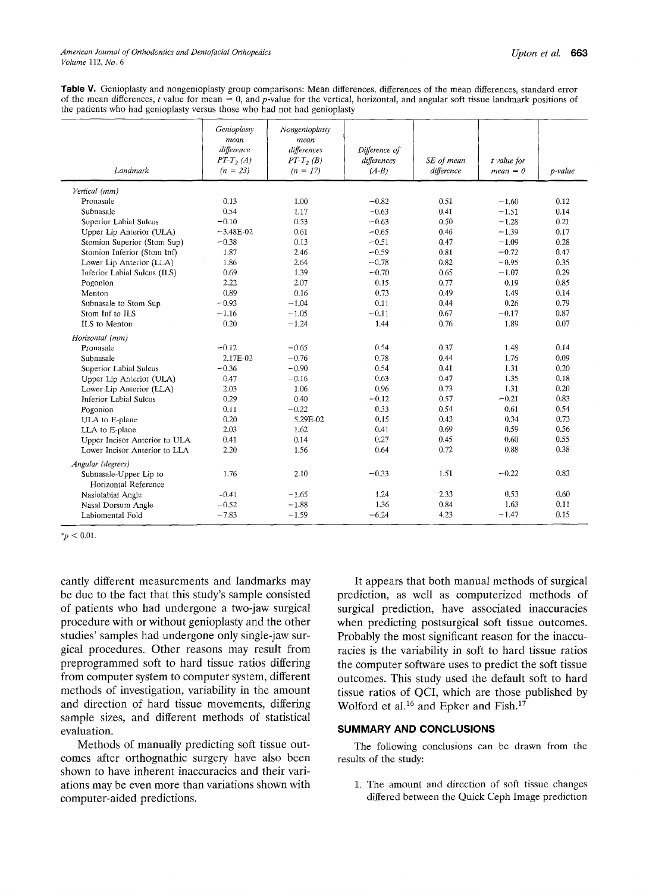Table V. Genioplasty and nongenioplasty group comparisons: Mean differences, differences of the mean differences, standard error of the mean differences, t value for mean = 0, and p-value for the vertical, horizontal, and angular soft tissue landmark positions of the patients who had genioplasty versus those who had not had genioplasty

| Landmark                                       | Genioplasty<br>mean<br>difference<br>$PT-T$ <sub>2</sub> $(A)$<br>$(n = 23)$ | Nongenioplasty<br>mean<br>differences<br>$PT-T$ <sub>2</sub> $(B)$<br>$(n = 17)$ | Difference of<br>differences<br>$(A-B)$ | SE of mean<br>difference | $t$ value for<br>$mean = 0$ | p-value |
|------------------------------------------------|------------------------------------------------------------------------------|----------------------------------------------------------------------------------|-----------------------------------------|--------------------------|-----------------------------|---------|
| Vertical (mm)                                  |                                                                              |                                                                                  |                                         |                          |                             |         |
| Pronasale                                      | 0.13                                                                         | 1.00                                                                             | $-0.82$                                 | 0.51                     | $-1.60$                     | 0.12    |
| Subnasale                                      | 0.54                                                                         | 1.17                                                                             | $-0.63$                                 | 0.41                     | $-1.51$                     | 0.14    |
| Superior Labial Sulcus                         | $-0.10$                                                                      | 0.53                                                                             | $-0.63$                                 | 0.50                     | $-1.28$                     | 0.21    |
| Upper Lip Anterior (ULA)                       | $-3.48E-02$                                                                  | 0.61                                                                             | $-0.65$                                 | 0.46                     | $-1.39$                     | 0.17    |
| Stomion Superior (Stom Sup)                    | $-0.38$                                                                      | 0.13                                                                             | $-0.51$                                 | 0.47                     | $-1.09$                     | 0.28    |
| Stomion Inferior (Stom Inf)                    | 1.87                                                                         | 2.46                                                                             | $-0.59$                                 | 0.81                     | $-0.72$                     | 0.47    |
| Lower Lip Anterior (LLA)                       | 1.86                                                                         | 2.64                                                                             | $-0.78$                                 | 0.82                     | $-0.95$                     | 0.35    |
| Inferior Labial Sulcus (ILS)                   | 0.69                                                                         | 1.39                                                                             | $-0.70$                                 | 0.65                     | $-1.07$                     | 0.29    |
| Pogonion                                       | 2.22                                                                         | 2.07                                                                             | 0.15                                    | 0.77                     | 0.19                        | 0.85    |
| Menton                                         | 0.89                                                                         | 0.16                                                                             | 0.73                                    | 0.49                     | 1.49                        | 0.14    |
| Subnasale to Stom Sup                          | $-0.93$                                                                      | $-1.04$                                                                          | 0.11                                    | 0.44                     | 0.26                        | 0.79    |
| Stom Inf to ILS                                | $-1.16$                                                                      | $-1.05$                                                                          | $-0.11$                                 | 0.67                     | $-0.17$                     | 0.87    |
| ILS to Menton                                  | 0.20                                                                         | $-1.24$                                                                          | 1.44                                    | 0.76                     | 1.89                        | 0.07    |
| Horizontal (mm)                                |                                                                              |                                                                                  |                                         |                          |                             |         |
| Pronasale                                      | $-0.12$                                                                      | $-0.65$                                                                          | 0.54                                    | 0.37                     | 1.48                        | 0.14    |
| Subnasale                                      | 2.17E-02                                                                     | $-0.76$                                                                          | 0.78                                    | 0.44                     | 1.76                        | 0.09    |
| Superior Labial Sulcus                         | $-0.36$                                                                      | $-0.90$                                                                          | 0.54                                    | 0.41                     | 1.31                        | 0.20    |
| Upper Lip Anterior (ULA)                       | 0.47                                                                         | $-0.16$                                                                          | 0.63                                    | 0.47                     | 1.35                        | 0.18    |
| Lower Lip Anterior (LLA)                       | 2.03                                                                         | 1.06                                                                             | 0.96                                    | 0.73                     | 1.31                        | 0.20    |
| <b>Inferior Labial Sulcus</b>                  | 0.29                                                                         | 0.40                                                                             | $-0.12$                                 | 0.57                     | $-0.21$                     | 0.83    |
| Pogonion                                       | 0.11                                                                         | $-0.22$                                                                          | 0.33                                    | 0.54                     | 0.61                        | 0.54    |
| ULA to E-plane                                 | 0.20                                                                         | 5.29E-02                                                                         | 0.15                                    | 0.43                     | 0.34                        | 0.73    |
| LLA to E-plane                                 | 2.03                                                                         | 1.62                                                                             | 0.41                                    | 0.69                     | 0.59                        | 0.56    |
| Upper Incisor Anterior to ULA                  | 0.41                                                                         | 0.14                                                                             | 0.27                                    | 0.45                     | 0.60                        | 0.55    |
| Lower Incisor Anterior to LLA                  | 2.20                                                                         | 1.56                                                                             | 0.64                                    | 0.72                     | 0.88                        | 0.38    |
| Angular (degrees)                              |                                                                              |                                                                                  |                                         |                          |                             |         |
| Subnasale-Upper Lip to<br>Horizontal Reference | 1.76                                                                         | 2.10                                                                             | $-0.33$                                 | 1.51                     | $-0.22$                     | 0.83    |
| Nasiolabial Angle                              | $-0.41$                                                                      | $-1.65$                                                                          | 1.24                                    | 2.33                     | 0.53                        | 0.60    |
| Nasal Dorsum Angle                             | $-0.52$                                                                      | $-1.88$                                                                          | 1.36                                    | 0.84                     | 1.63                        | 0.11    |
| Labiomental Fold                               | $-7.83$                                                                      | $-1.59$                                                                          | $-6.24$                                 | 4.23                     | $-1.47$                     | 0.15    |

 $*_p$  < 0.01.

cantly different measurements and landmarks may be due to the fact that this study's sample consisted of patients who had undergone a two-jaw surgical procedure with or without genioplasty and the other studies' samples had undergone only single-jaw surgical procedures. Other reasons may result from preprogrammed soft to hard tissue ratios differing from computer system to computer system, different methods of investigation, variability in the amount and direction of hard tissue movements, differing sample sizes, and different methods of statistical evaluation.

Methods of manually predicting soft tissue outcomes after orthognathic surgery have also been shown to have inherent inaccuracies and their variations may be even more than variations shown with computer-aided predictions.

It appears that both manual methods of surgical prediction, as well as computerized methods of surgical prediction, have associated inaccuracies when predicting postsurgical soft tissue outcomes. Probably the most significant reason for the inaccuracies is the variability in soft to hard tissue ratios the computer software uses to predict the soft tissue outcomes. This study used the default soft to hard tissue ratios of QCI, which are those published by Wolford et al.<sup>16</sup> and Epker and Fish.<sup>17</sup>

#### **SUMMARY AND CONCLUSIONS**

The following conclusions can be drawn from the results of the study:

1. The amount and direction of soft tissue changes differed between the Quick Ceph Image prediction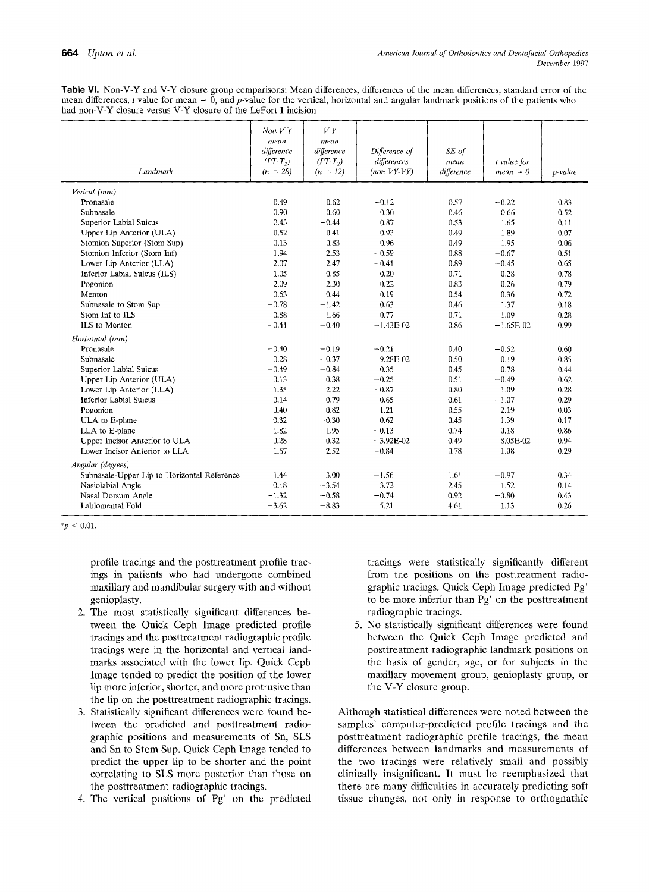**Table VI. Non-V-Y and V-Y closure group comparisons: Mean differences, differences of the mean differences, standard error of the**  mean differences, t value for mean  $= 0$ , and p-value for the vertical, horizontal and angular landmark positions of the patients who **had non-V-Y closure versus V-Y closure of the LeFort I incision** 

| Landmark                                    | Non V <sub>Y</sub><br>mean<br>difference<br>$(PT-T_2)$<br>$(n = 28)$ | V <sub>Y</sub><br>mean<br>difference<br>$(PT-T2)$<br>$(n = 12)$ | Difference of<br>differences<br>$(non VY-VY)$ | SE of<br>mean<br>difference | t value for<br>$mean = 0$ | p-value |
|---------------------------------------------|----------------------------------------------------------------------|-----------------------------------------------------------------|-----------------------------------------------|-----------------------------|---------------------------|---------|
| Vencal (mm)                                 |                                                                      |                                                                 |                                               |                             |                           |         |
| Pronasale                                   | 0.49                                                                 | 0.62                                                            | $-0.12$                                       | 0.57                        | $-0.22$                   | 0.83    |
| Subnasale                                   | 0.90                                                                 | 0.60                                                            | 0.30                                          | 0.46                        | 0.66                      | 0.52    |
| Superior Labial Sulcus                      | 0.43                                                                 | $-0.44$                                                         | 0.87                                          | 0.53                        | 1.65                      | 0.11    |
| Upper Lip Anterior (ULA)                    | 0.52                                                                 | $-0.41$                                                         | 0.93                                          | 0.49                        | 1.89                      | 0.07    |
| Stomion Superior (Stom Sup)                 | 0.13                                                                 | $-0.83$                                                         | 0.96                                          | 0.49                        | 1.95                      | 0.06    |
| Stomion Inferior (Stom Inf)                 | 1.94                                                                 | 2.53                                                            | $-0.59$                                       | 0.88                        | $-0.67$                   | 0.51    |
| Lower Lip Anterior (LLA)                    | 2.07                                                                 | 2.47                                                            | $-0.41$                                       | 0.89                        | $-0.45$                   | 0.65    |
| Inferior Labial Sulcus (ILS)                | 1.05                                                                 | 0.85                                                            | 0.20                                          | 0.71                        | 0.28                      | 0.78    |
| Pogonion                                    | 2.09                                                                 | 2.30                                                            | $-0.22$                                       | 0.83                        | $-0.26$                   | 0.79    |
| Menton                                      | 0.63                                                                 | 0.44                                                            | 0.19                                          | 0.54                        | 0.36                      | 0.72    |
| Subnasale to Stom Sup                       | $-0.78$                                                              | $-1.42$                                                         | 0.63                                          | 0.46                        | 1.37                      | 0.18    |
| Stom Inf to ILS                             | $-0.88$                                                              | $-1.66$                                                         | 0.77                                          | 0.71                        | 1.09                      | 0.28    |
| ILS to Menton                               | $-0.41$                                                              | $-0.40$                                                         | $-1.43E-02$                                   | 0.86                        | $-1.65E-02$               | 0.99    |
| Horizontal (mm)                             |                                                                      |                                                                 |                                               |                             |                           |         |
| Pronasale                                   | $-0.40$                                                              | $-0.19$                                                         | $-0.21$                                       | 0.40                        | $-0.52$                   | 0.60    |
| Subnasale                                   | $-0.28$                                                              | $-0.37$                                                         | 9.28E-02                                      | 0.50                        | 0.19                      | 0.85    |
| Superior Labial Sulcus                      | $-0.49$                                                              | $-0.84$                                                         | 0.35                                          | 0.45                        | 0.78                      | 0.44    |
| Upper Lip Anterior (ULA)                    | 0.13                                                                 | 0.38                                                            | $-0.25$                                       | 0.51                        | $-0.49$                   | 0.62    |
| Lower Lip Anterior (LLA)                    | 1.35                                                                 | 2.22                                                            | $-0.87$                                       | 0.80                        | $-1.09$                   | 0.28    |
| Inferior Labial Sulcus                      | 0.14                                                                 | 0.79                                                            | $-0.65$                                       | 0.61                        | $-1.07$                   | 0.29    |
| Pogonion                                    | $-0.40$                                                              | 0.82                                                            | $-1.21$                                       | 0.55                        | $-2.19$                   | 0.03    |
| ULA to E-plane                              | 0.32                                                                 | $-0.30$                                                         | 0.62                                          | 0.45                        | 1.39                      | 0.17    |
| LLA to E-plane                              | 1.82                                                                 | 1.95                                                            | $-0.13$                                       | 0.74                        | $-0.18$                   | 0.86    |
| Upper Incisor Anterior to ULA               | 0.28                                                                 | 0.32                                                            | $-3.92E-02$                                   | 0.49                        | $-8.05E-02$               | 0.94    |
| Lower Incisor Anterior to LLA               | 1.67                                                                 | 2.52                                                            | $-0.84$                                       | 0.78                        | $-1.08$                   | 0.29    |
| Angular (degrees)                           |                                                                      |                                                                 |                                               |                             |                           |         |
| Subnasale-Upper Lip to Horizontal Reference | 1.44                                                                 | 3.00                                                            | $-1.56$                                       | 1.61                        | $-0.97$                   | 0.34    |
| Nasiolabial Angle                           | 0.18                                                                 | $-3.54$                                                         | 3.72                                          | 2.45                        | 1.52                      | 0.14    |
| Nasal Dorsum Angle                          | $-1.32$                                                              | $-0.58$                                                         | $-0.74$                                       | 0.92                        | $-0.80$                   | 0.43    |
| Labiomental Fold                            | $-3.62$                                                              | $-8.83$                                                         | 5.21                                          | 4.61                        | 1.13                      | 0.26    |

 $*_{p}$  < 0.01.

**profile tracings and the posttreatment profile tracings in patients who had undergone combined maxillary and mandibular surgery with and without genioplasty.** 

- **2. The most statistically significant differences between the Quick Ceph Image predicted profile tracings and the posttreatment radiographic profile tracings were in the horizontal and vertical landmarks associated with the lower lip. Quick Ceph**  Image tended to predict the position of the lower **lip more inferior, shorter, and more protrusive than the lip on the posttreatment radiographic tracings.**
- **3. Statistically significant differences were found between the predicted and posttreatment radiographic positions and measurements of Sn, SLS and Sn to Store Sup. Quick Ceph Image tended to predict the upper lip to be shorter and the point correlating to SLS more posterior than those on the posttreatment radiographic tracings.**
- **4. The vertical positions of Pg' on the predicted**

**tracings were statistically significantly different from the positions on the posttreatment radiographic tracings. Quick Ceph Image predicted Pg' to be more inferior than Pg' on the posttreatment radiographic tracings.** 

**5. No statistically significant differences were found between the Quick Ceph Image predicted and posttreatment radiographic landmark positions on the basis of gender, age, or for subjects in the maxillary movement group, genioplasty group, or the V-Y closure group.** 

**Although statistical differences were noted between the samples' computer-predicted profile tracings and the posttreatment radiographic profile tracings, the mean differences between landmarks and measurements of the two tracings were relatively small and possibly clinically insignificant. It must be reemphasized that there are many difficulties in accurately predicting soft tissue changes, not only in response to orthognathic**